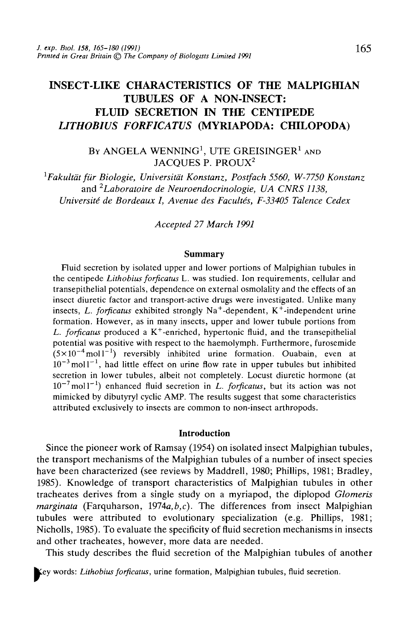# INSECT-LIKE CHARACTERISTICS OF THE MALPIGHIAN TUBULES OF A NON-INSECT: FLUID SECRETION IN THE CENTIPEDE **LITHOBIUS FORFICATUS (MYRIAPODA: CHILOPODA)**

By ANGELA WENNING<sup>1</sup>, UTE GREISINGER<sup>1</sup> and JACQUES P. PROUX<sup>2</sup>

*1 Fakultdt fur Biologie, Universitdt Konstanz, Postfach 5560, W-7750 Konstanz* and *2Laboratoire de Neuroendocrinologie, UA CNRS 1138, Université de Bordeaux I, Avenue des Facultés, F-33405 Talence Cedex* 

*Accepted 27 March 1991*

#### **Summary**

Fluid secretion by isolated upper and lower portions of Malpighian tubules in the centipede *Lithobius forficatus* L. was studied. Ion requirements, cellular and transepithelial potentials, dependence on external osmolality and the effects of an insect diuretic factor and transport-active drugs were investigated. Unlike many insects, *L. forficatus* exhibited strongly Na<sup>+</sup>-dependent, K<sup>+</sup>-independent urine formation. However, as in many insects, upper and lower tubule portions from L. forficatus produced a K<sup>+</sup>-enriched, hypertonic fluid, and the transepithelial potential was positive with respect to the haemolymph. Furthermore, furosemide  $(5 \times 10^{-4} \text{ mol}^{-1})$  reversibly inhibited urine formation. Ouabain, even at  $10^{-3}$  moll<sup>-1</sup>, had little effect on urine flow rate in upper tubules but inhibited secretion in lower tubules, albeit not completely. Locust diuretic hormone (at  $10^{-7}$  moll<sup>-1</sup>) enhanced fluid secretion in *L. forficatus*, but its action was not mimicked by dibutyryl cyclic AMP. The results suggest that some characteristics attributed exclusively to insects are common to non-insect arthropods.

### **Introduction**

Since the pioneer work of Ramsay (1954) on isolated insect Malpighian tubules, the transport mechanisms of the Malpighian tubules of a number of insect species have been characterized (see reviews by Maddrell, 1980; Phillips, 1981; Bradley, 1985). Knowledge of transport characteristics of Malpighian tubules in other tracheates derives from a single study on a myriapod, the diplopod *Glomeris marginata* (Farquharson, 1974a,*b,c).* The differences from insect Malpighian tubules were attributed to evolutionary specialization (e.g. Phillips, 1981; Nicholls, 1985). To evaluate the specificity of fluid secretion mechanisms in insects and other tracheates, however, more data are needed.

This study describes the fluid secretion of the Malpighian tubules of another

words: *Lithobius forficatus,* urine formation, Malpighian tubules, fluid secretion.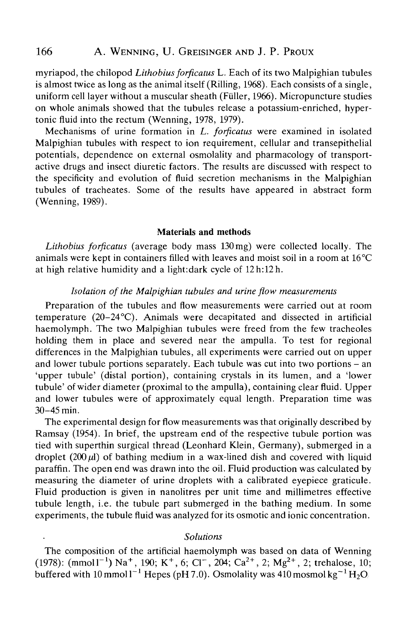# 166 A. WENNING, U. GREISINGER AND J. P. PROUX

myriapod, the chilopod *Lithobius forficatus* L. Each of its two Malpighian tubules is almost twice as long as the animal itself (Rilling, 1968). Each consists of a single, uniform cell layer without a muscular sheath (Füller, 1966). Micropuncture studies on whole animals showed that the tubules release a potassium-enriched, hypertonic fluid into the rectum (Wenning, 1978, 1979).

Mechanisms of urine formation in *L. forficatus* were examined in isolated Malpighian tubules with respect to ion requirement, cellular and transepithelial potentials, dependence on external osmolality and pharmacology of transportactive drugs and insect diuretic factors. The results are discussed with respect to the specificity and evolution of fluid secretion mechanisms in the Malpighian tubules of tracheates. Some of the results have appeared in abstract form (Wenning, 1989).

#### Materials and methods

*Lithobius forficatus* (average body mass 130 mg) were collected locally. The animals were kept in containers filled with leaves and moist soil in a room at 16 °C at high relative humidity and a light:dark cycle of 12h:12h.

### *Isolation of the Malpighian tubules and urine flow measurements*

Preparation of the tubules and flow measurements were carried out at room temperature (20-24°C). Animals were decapitated and dissected in artificial haemolymph. The two Malpighian tubules were freed from the few tracheoles holding them in place and severed near the ampulla. To test for regional differences in the Malpighian tubules, all experiments were carried out on upper and lower tubule portions separately. Each tubule was cut into two portions – an 'upper tubule' (distal portion), containing crystals in its lumen, and a 'lower tubule' of wider diameter (proximal to the ampulla), containing clear fluid. Upper and lower tubules were of approximately equal length. Preparation time was 30-45 min.

The experimental design for flow measurements was that originally described by Ramsay (1954). In brief, the upstream end of the respective tubule portion was tied with superthin surgical thread (Leonhard Klein, Germany), submerged in a droplet  $(200 \,\mu\text{I})$  of bathing medium in a wax-lined dish and covered with liquid paraffin. The open end was drawn into the oil. Fluid production was calculated by measuring the diameter of urine droplets with a calibrated eyepiece graticule. Fluid production is given in nanolitres per unit time and millimetres effective tubule length, i.e. the tubule part submerged in the bathing medium. In some experiments, the tubule fluid was analyzed for its osmotic and ionic concentration.

#### *Solutions*

The composition of the artificial haemolymph was based on data of Wenning  $(1978)$ : (mmol l<sup>-1</sup>) Na<sup>+</sup>, 190; K<sup>+</sup>, 6; Cl<sup>-</sup>, 204; Ca<sup>2+</sup>, 2; Mg<sup>2+</sup>, 2; trehalose, 10; buffered with  $10$  mmol  $l^{-1}$  Hepes (pH 7.0). Osmolality was 410 mosmol kg<sup>-1</sup> H<sub>2</sub>O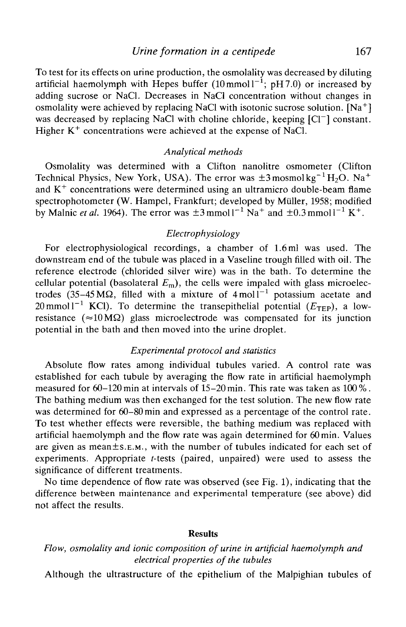### *Urine formation in a centipede* 167

To test for its effects on urine production, the osmolality was decreased by diluting artificial haemolymph with Hepes buffer  $(10 \text{ mmol l}^{-1}; \text{ pH } 7.0)$  or increased by adding sucrose or NaCl. Decreases in NaCl concentration without changes in osmolality were achieved by replacing NaCl with isotonic sucrose solution.  $[Na^+]$ was decreased by replacing NaCl with choline chloride, keeping [Cl<sup>-</sup>] constant. Higher  $K^{+}$  concentrations were achieved at the expense of NaCl.

### *Analytical methods*

Osmolality was determined with a Clifton nanolitre osmometer (Clifton Technical Physics, New York, USA). The error was  $\pm 3$  mosmol kg<sup>-1</sup>H<sub>2</sub>O. Na<sup>+</sup> and  $K^+$  concentrations were determined using an ultramicro double-beam flame spectrophotometer (W. Hampel, Frankfurt; developed by Miiller, 1958; modified by Malnic *et al.* 1964). The error was  $\pm 3$  mmol  $1^{-1}$  Na<sup>+</sup> and  $\pm 0.3$  mmol  $1^{-1}$  K<sup>+</sup>.

# *Electrophysiology*

For electrophysiological recordings, a chamber of 1.6 ml was used. The downstream end of the tubule was placed in a Vaseline trough filled with oil. The reference electrode (chlorided silver wire) was in the bath. To determine the cellular potential (basolateral  $E_m$ ), the cells were impaled with glass microelectrodes (35–45 M $\Omega$ , filled with a mixture of 4 moll<sup>-1</sup> potassium acetate and 20 mmol  $1^{-1}$  KCl). To determine the transepithelial potential  $(E_{\text{TEP}})$ , a lowresistance ( $\approx 10 \text{ M}\Omega$ ) glass microelectrode was compensated for its junction potential in the bath and then moved into the urine droplet.

### *Experimental protocol and statistics*

Absolute flow rates among individual tubules varied. A control rate was established for each tubule by averaging the flow rate in artificial haemolymph measured for  $60-120$  min at intervals of 15-20 min. This rate was taken as 100%. The bathing medium was then exchanged for the test solution. The new flow rate was determined for 60-80min and expressed as a percentage of the control rate. To test whether effects were reversible, the bathing medium was replaced with artificial haemolymph and the flow rate was again determined for 60min. Values are given as mean±s.E.M., with the number of tubules indicated for each set of experiments. Appropriate f-tests (paired, unpaired) were used to assess the significance of different treatments.

No time dependence of flow rate was observed (see Fig. 1), indicating that the difference between maintenance and experimental temperature (see above) did not affect the results.

### **Results**

# *Flow, osmolality and ionic composition of urine in artificial haemolymph and electrical properties of the tubules*

Although the ultrastructure of the epithelium of the Malpighian tubules of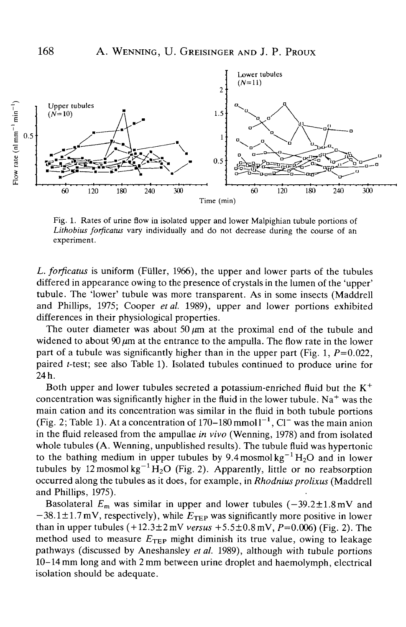

Fig. 1. Rates of urine flow in isolated upper and lower Malpighian tubule portions of *Lithobius forftcatus* vary individually and do not decrease during the course of an experiment.

*L. forftcatus* is uniform (Fuller, 1966), the upper and lower parts of the tubules differed in appearance owing to the presence of crystals in the lumen of the 'upper' tubule. The 'lower' tubule was more transparent. As in some insects (Maddrell and Phillips, 1975; Cooper *et al.* 1989), upper and lower portions exhibited differences in their physiological properties.

The outer diameter was about 50  $\mu$ m at the proximal end of the tubule and widened to about 90  $\mu$ m at the entrance to the ampulla. The flow rate in the lower part of a tubule was significantly higher than in the upper part (Fig. 1,  $P=0.022$ , paired r-test; see also Table 1). Isolated tubules continued to produce urine for 24 h.

Both upper and lower tubules secreted a potassium-enriched fluid but the  $K^+$ concentration was significantly higher in the fluid in the lower tubule. Na<sup>+</sup> was the main cation and its concentration was similar in the fluid in both tubule portions (Fig. 2; Table 1). At a concentration of  $170-180$  mmol  $1^{-1}$ , Cl<sup>-</sup> was the main anion in the fluid released from the ampullae *in vivo* (Wenning, 1978) and from isolated whole tubules (A. Wenning, unpublished results). The tubule fluid was hypertonic to the bathing medium in upper tubules by 9.4 mosmol  $kg^{-1}H_2O$  and in lower tubules by  $12 \text{ mosh} \text{ kg}^{-1} \text{ H}_2 \text{O}$  (Fig. 2). Apparently, little or no reabsorption occurred along the tubules as it does, for example, in *Rhodnius prolixus* (Maddrell and Phillips, 1975).

Basolateral  $E_m$  was similar in upper and lower tubules  $(-39.2 \pm 1.8 \text{ mV}$  and  $-38.1 \pm 1.7 \,\text{mV}$ , respectively), while  $E_{\text{TEP}}$  was significantly more positive in lower than in upper tubules  $(+12.3 \pm 2 \text{ mV}$  *versus*  $+5.5 \pm 0.8 \text{ mV}$ ,  $P=0.006$ ) (Fig. 2). The method used to measure  $E_{\text{TFP}}$  might diminish its true value, owing to leakage pathways (discussed by Aneshansley *et al.* 1989), although with tubule portions 10-14 mm long and with 2 mm between urine droplet and haemolymph, electrical isolation should be adequate.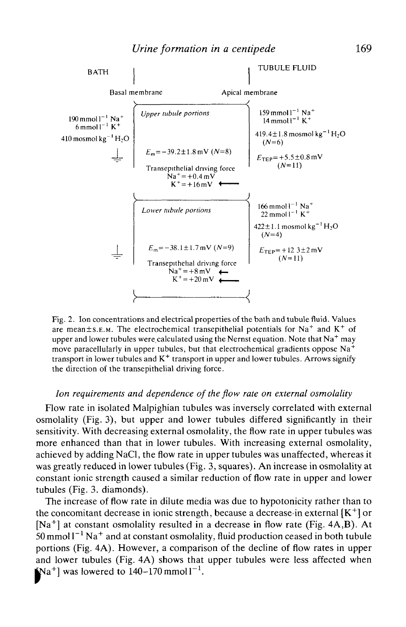

Fig. 2. Ion concentrations and electrical properties of the bath and tubule fluid. Values are mean±s.E.M. The electrochemical transepithelial potentials for Na<sup>+</sup> and K<sup>+</sup> of upper and lower tubules were calculated using the Nernst equation. Note that  $\text{Na}^+$  may move paracellularly in upper tubules, but that electrochemical gradients oppose  $Na<sup>+</sup>$ transport in lower tubules and  $K^+$  transport in upper and lower tubules. Arrows signify the direction of the transepithelial driving force.

# *Ion requirements and dependence of the flow rate on external osmolality*

Flow rate in isolated Malpighian tubules was inversely correlated with external osmolality (Fig. 3), but upper and lower tubules differed significantly in their sensitivity. With decreasing external osmolality, the flow rate in upper tubules was more enhanced than that in lower tubules. With increasing external osmolality, achieved by adding NaCl, the flow rate in upper tubules was unaffected, whereas it was greatly reduced in lower tubules (Fig. 3, squares). An increase in osmolality at constant ionic strength caused a similar reduction of flow rate in upper and lower tubules (Fig. 3. diamonds).

The increase of flow rate in dilute media was due to hypotonicity rather than to the concomitant decrease in ionic strength, because a decrease in external  $[K^+]$  or  $[Na^+]$  at constant osmolality resulted in a decrease in flow rate (Fig. 4A,B). At  $50$  mmol  $1^{-1}$  Na<sup>+</sup> and at constant osmolality, fluid production ceased in both tubule portions (Fig. 4A). However, a comparison of the decline of flow rates in upper and lower tubules (Fig. 4A) shows that upper tubules were less affected when  $\mathbf{a}^{\mathsf{-}}$ and lower tubules (Fig. 4A) shows that<br>  $[Na^+]$  was lowered to  $140-170$  mmol  $1^{-1}$ .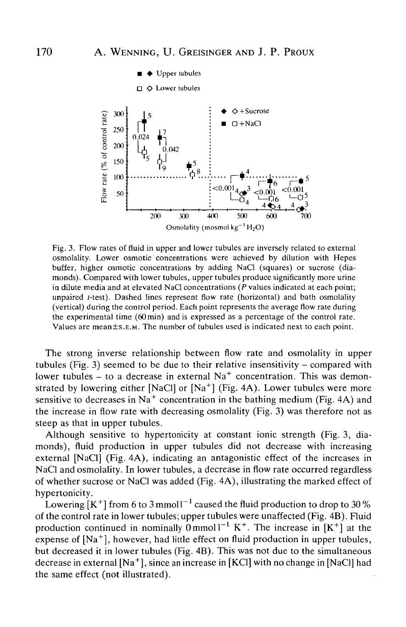

Fig. 3. Flow rates of fluid in upper and lower tubules are inversely related to external osmolality. Lower osmotic concentrations were achieved by dilution with Hepes buffer, higher osmotic concentrations by adding NaQ (squares) or sucrose (diamonds). Compared with lower tubules, upper tubules produce significantly more urine in dilute media and at elevated NaCl concentrations ( $P$  values indicated at each point; unpaired *. Dashed lines represent flow rate (horizontal) and bath osmolality* (vertical) during the control period. Each point represents the average flow rate during the experimental time  $(60 \text{ min})$  and is expressed as a percentage of the control rate. Values are mean±s.E.M. The number of tubules used is indicated next to each point.

The strong inverse relationship between flow rate and osmolality in upper tubules (Fig. 3) seemed to be due to their relative insensitivity – compared with lower tubules – to a decrease in external  $Na<sup>+</sup>$  concentration. This was demonstrated by lowering either [NaCl] or  $[Na^+]$  (Fig. 4A). Lower tubules were more sensitive to decreases in Na<sup>+</sup> concentration in the bathing medium (Fig. 4A) and the increase in flow rate with decreasing osmolality (Fig. 3) was therefore not as steep as that in upper tubules.

Although sensitive to hypertonicity at constant ionic strength (Fig. 3, diamonds), fluid production in upper tubules did not decrease with increasing external [NaCl] (Fig. 4A), indicating an antagonistic effect of the increases in NaCl and osmolality. In lower tubules, a decrease in flow rate occurred regardless of whether sucrose or NaCl was added (Fig. 4A), illustrating the marked effect of hypertonicity.

Lowering  $[K^+]$  from 6 to 3 mmol  $I^{-1}$  caused the fluid production to drop to 30 % of the control rate in lower tubules; upper tubules were unaffected (Fig. 4B). Fluid production continued in nominally  $0 \text{ mmol} 1^{-1} K^+$ . The increase in  $[K^+]$  at the expense of [Na<sup>+</sup>], however, had little effect on fluid production in upper tubules, but decreased it in lower tubules (Fig. 4B). This was not due to the simultaneous decrease in external  $[Na^+]$ , since an increase in [KCl] with no change in [NaCl] had the same effect (not illustrated).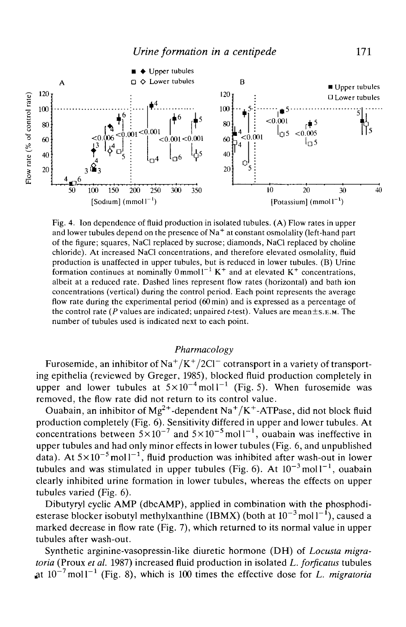

Fig. 4. Ion dependence of fluid production in isolated tubules. (A) Flow rates in upper and lower tubules depend on the presence of  $\text{Na}^+$  at constant osmolality (left-hand part of the figure; squares, NaCl replaced by sucrose; diamonds, NaCl replaced by choline chloride). At increased NaCl concentrations, and therefore elevated osmolality, fluid production is unaffected in upper tubules, but is reduced in lower tubules. (B) Urine formation continues at nominally  $0 \text{ mmol}^{-1} K^+$  and at elevated  $K^+$  concentrations, albeit at a reduced rate. Dashed lines represent flow rates (horizontal) and bath ion concentrations (vertical) during the control period. Each point represents the average flow rate during the experimental period (60min) and is expressed as a percentage of the control rate *(P* values are indicated; unpaired f-test). Values are mean±s.E.M. The number of tubules used is indicated next to each point.

# *Pharmacology*

Furosemide, an inhibitor of Na $^+/K^+/2Cl^-$  cotransport in a variety of transporting epithelia (reviewed by Greger, 1985), blocked fluid production completely in upper and lower tubules at  $5 \times 10^{-4}$  moll<sup>-1</sup> (Fig. 5). When furosemide was removed, the flow rate did not return to its control value.

Ouabain, an inhibitor of Mg<sup>2+</sup>-dependent Na<sup>+</sup>/K<sup>+</sup>-ATPase, did not block fluid production completely (Fig. 6). Sensitivity differed in upper and lower tubules. At concentrations between  $5 \times 10^{-7}$  and  $5 \times 10^{-5}$  moll<sup>-1</sup>, ouabain was ineffective in upper tubules and had only minor effects in lower tubules (Fig. 6, and unpublished data). At  $5 \times 10^{-5}$  moll<sup>-1</sup>, fluid production was inhibited after wash-out in lower tubules and was stimulated in upper tubules (Fig. 6). At  $10^{-3}$  moll<sup>-1</sup>, ouabain clearly inhibited urine formation in lower tubules, whereas the effects on upper tubules varied (Fig. 6).

Dibutyryl cyclic AMP (dbcAMP), applied in combination with the phosphodiesterase blocker isobutyl methylxanthine (IBMX) (both at  $10^{-3}$  mol  $1^{-1}$ ), caused a marked decrease in flow rate (Fig. 7), which returned to its normal value in upper tubules after wash-out.

Synthetic arginine-vasopressin-like diuretic hormone (DH) of *Locusta migratoria* (Proux *et al.* 1987) increased fluid production in isolated *L. forficatus* tubules at  $10^{-7}$  moll<sup>-1</sup> (Fig. 8), which is 100 times the effective dose for *L. migratoria*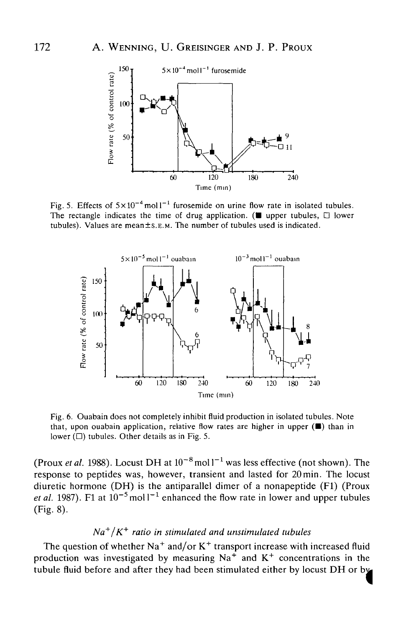

Fig. 5. Effects of  $5 \times 10^{-4}$  moll<sup>-1</sup> furosemide on urine flow rate in isolated tubules The rectangle indicates the time of drug application. ( $\blacksquare$  upper tubules,  $\Box$  lower tubules). Values are mean±s.E.M. The number of tubules used is indicated.



Fig. 6. Ouabain does not completely inhibit fluid production in isolated tubules. Note that, upon ouabain application, relative flow rates are higher in upper  $(\blacksquare)$  than in lower  $(\Box)$  tubules. Other details as in Fig. 5.

(Proux et al. 1988). Locust DH at  $10^{-8}$  mol  $1^{-1}$  was less effective (not shown). The response to peptides was, however, transient and lasted for 20min. The locust diuretic hormone (DH) is the antiparallel dimer of a nonapeptide (Fl) (Proux *et al.* 1987). F1 at  $10^{-5}$  mol  $I^{-1}$  enhanced the flow rate in lower and upper tubules (Fig. 8).

# *Na+ 1K+ ratio in stimulated and unstimulated tubules*

The question of whether  $Na^+$  and/or  $K^+$  transport increase with increased fluid production was investigated by measuring  $Na<sup>+</sup>$  and  $K<sup>+</sup>$  concentrations in the tubule fluid before and after they had been stimulated either by locust DH or b*i*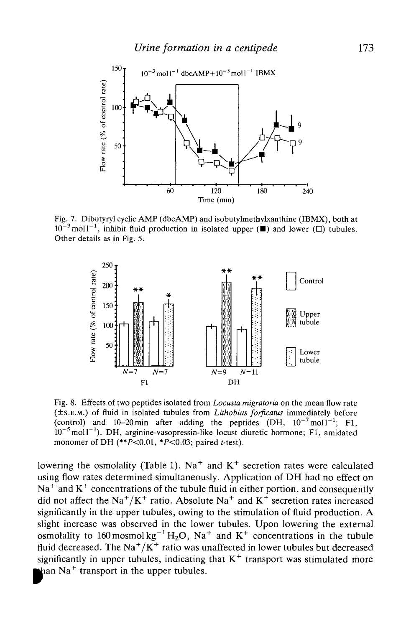

Fig. 7. Dibutyryl cyclic AMP (dbcAMP) and isobutylmethylxanthine (IBMX), both at  $10^{-3}$  moll<sup>-1</sup>, inhibit fluid production in isolated upper ( $\blacksquare$ ) and lower ( $\Box$ ) tubules. Other details as in Fig. 5.



Fig. 8. Effects of two peptides isolated from *Locusta migratoria* on the mean flow rate (±S.E.M.) of fluid in isolated tubules from *Lithobius forficatus* immediately before (control) and 10-20 min after adding the peptides  $(DH, 10^{-7} \text{ mol}1^{-1}$ ; F1, 10<sup>-5</sup> mol1<sup>-1</sup>). DH, arginine-vasopressin-like locust diuretic hormone; F1, amidated monomer of DH  $(**P<0.01, *P<0.03$ ; paired t-test).

lowering the osmolality (Table 1). Na<sup>+</sup> and  $K^+$  secretion rates were calculated using flow rates determined simultaneously. Application of DH had no effect on  $Na<sup>+</sup>$  and  $K<sup>+</sup>$  concentrations of the tubule fluid in either portion, and consequently did not affect the Na<sup>+</sup>/K<sup>+</sup> ratio. Absolute Na<sup>+</sup> and K<sup>+</sup> secretion rates increased significantly in the upper tubules, owing to the stimulation of fluid production. A slight increase was observed in the lower tubules. Upon lowering the external osmolality to 160 mosmol  $kg^{-1}H_2O$ , Na<sup>+</sup> and K<sup>+</sup> concentrations in the tubule fluid decreased. The  $\text{Na}^+/\text{K}^+$  ratio was unaffected in lower tubules but decreased significantly in upper tubules, indicating that  $K^+$  transport was stimulated more Na<sup>+</sup> transport in the upper tubules.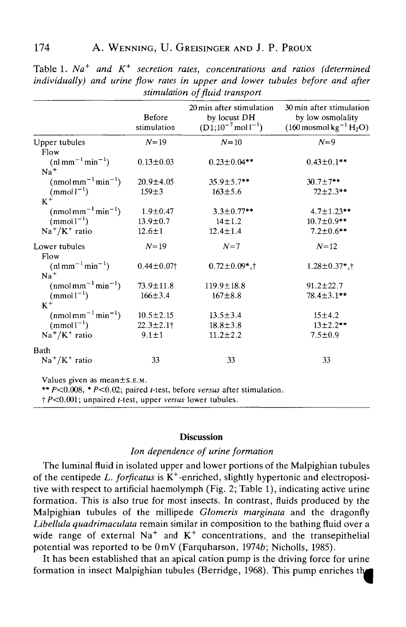|                                                                                                   | Before<br>stimulation | 20 min after stimulation<br>by locust DH<br>$(D1; 10^{-7} \text{mol}^{-1})$                | 30 min after stimulation<br>by low osmolality<br>$(160 \text{ mosh} \text{ kg}^{-1} \text{ H}_2 \text{O})$ |
|---------------------------------------------------------------------------------------------------|-----------------------|--------------------------------------------------------------------------------------------|------------------------------------------------------------------------------------------------------------|
| Upper tubules                                                                                     | $N = 19$              | $N=10$                                                                                     | $N=9$                                                                                                      |
| Flow                                                                                              |                       |                                                                                            |                                                                                                            |
| $(nlmm^{-1}min^{-1})$<br>$Na+$                                                                    | $0.13 \pm 0.03$       | $0.23 \pm 0.04**$                                                                          | $0.43 \pm 0.1$ **                                                                                          |
| $(nmolmm^{-1}min^{-1})$                                                                           | $20.9 \pm 4.05$       | $35.9 \pm 5.7$ **                                                                          | $30.7 \pm 7$ **                                                                                            |
| $(mmol1^{-1})$<br>$K^+$                                                                           | $159 \pm 3$           | $163 \pm 5.6$                                                                              | $72 \pm 2.3$ **                                                                                            |
| $(nmolmm^{-1}min^{-1})$                                                                           | $1.9 + 0.47$          | $3.3 \pm 0.77$ **                                                                          | $4.7 \pm 1.23$ **                                                                                          |
| $(mmol-1)$                                                                                        | $13.9 \pm 0.7$        | $14 \pm 1.2$                                                                               | $10.7 \pm 0.9$ **                                                                                          |
| $Na^+/K^+$ ratio                                                                                  | $12.6 \pm 1$          | $12.4 \pm 1.4$                                                                             | $7.2 \pm 0.6$ **                                                                                           |
| Lower tubules                                                                                     | $N = 19$              | $N=7$                                                                                      | $N = 12$                                                                                                   |
| Flow<br>$(\text{nl mm}^{-1} \text{min}^{-1})$<br>$Na+$                                            | $0.44 \pm 0.07$       | $0.72 \pm 0.09$ *,†                                                                        | $1.28 \pm 0.37$ *,†                                                                                        |
| $(nmol \text{mm}^{-1} \text{min}^{-1})$                                                           | 73.9±11.8             | $119.9 \pm 18.8$                                                                           | $91.2 \pm 22.7$                                                                                            |
| $(mmol)^{-1}$<br>$K^+$                                                                            | $166 \pm 3.4$         | $167 + 8.8$                                                                                | $78.4 \pm 3.1$ **                                                                                          |
| $(nmol$ mm <sup><math>-1</math></sup> min <sup><math>-1</math></sup> )                            | $10.5 \pm 2.15$       | $13.5 \pm 3.4$                                                                             | 15±4.2                                                                                                     |
| $(mmol-1)$                                                                                        | $22.3 \pm 2.1$        | $18.8 \pm 3.8$                                                                             | $13 \pm 2.2$ **                                                                                            |
| $Na^+/K^+$ ratio                                                                                  | $9.1 \pm 1$           | $11.2 \pm 2.2$                                                                             | $7.5 \pm 0.9$                                                                                              |
| Bath                                                                                              |                       |                                                                                            |                                                                                                            |
| $Na^+/K^+$ ratio                                                                                  | 33                    | 33                                                                                         | 33                                                                                                         |
| Values given as mean ± s.E.M.<br>$\uparrow$ P<0.001; unpaired t-test, upper versus lower tubules. |                       | ** $P<0.008$ , * $P<0.02$ ; paired <i>t</i> -test, before <i>versus</i> after stimulation. |                                                                                                            |

Table 1. Na<sup>+</sup> and K<sup>+</sup> secretion rates, concentrations and ratios (determinea *individually) and urine flow rates in upper and lower tubules before and after stimulation of fluid transport*

### **Discussion**

### *Ion dependence of urine formation*

The luminal fluid in isolated upper and lower portions of the Malpighian tubules of the centipede L. forficatus is K<sup>+</sup>-enriched, slightly hypertonic and electropositive with respect to artificial haemolymph (Fig. 2; Table 1), indicating active urine formation. This is also true for most insects. In contrast, fluids produced by the Malpighian tubules of the millipede *Glomeris marginata* and the dragonfly *Libellula quadrimaculata* remain similar in composition to the bathing fluid over a wide range of external  $Na<sup>+</sup>$  and  $K<sup>+</sup>$  concentrations, and the transepithelial potential was reported to be OmV (Farquharson, 19746; Nicholls, 1985).

It has been established that an apical cation pump is the driving force for urine formation in insect Malpighian tubules (Berridge, 1968). This pump enriches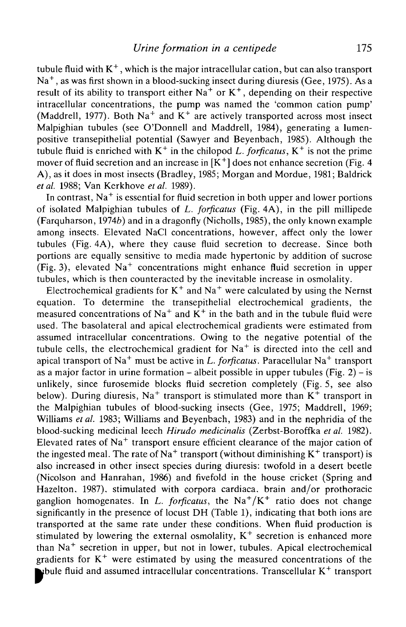tubule fluid with  $K^+$ , which is the major intracellular cation, but can also transport  $\mathrm{Na}^+$ , as was first shown in a blood-sucking insect during diuresis (Gee, 1975). As a result of its ability to transport either  $Na<sup>+</sup>$  or  $K<sup>+</sup>$ , depending on their respective intracellular concentrations, the pump was named the 'common cation pump' (Maddrell, 1977). Both Na<sup>+</sup> and K<sup>+</sup> are actively transported across most insect Malpighian tubules (see O'Donnell and Maddrell, 1984), generating a lumenpositive transepithelial potential (Sawyer and Beyenbach, 1985). Although the tubule fluid is enriched with  $K^+$  in the chilopod L. forficatus,  $K^+$  is not the prime mover of fluid secretion and an increase in  $[K^+]$  does not enhance secretion (Fig. 4 A), as it does in most insects (Bradley, 1985; Morgan and Mordue, 1981; Baldrick *etal.* 1988; Van Kerkhove *et al.* 1989).

In contrast,  $Na^+$  is essential for fluid secretion in both upper and lower portions of isolated Malpighian tubules of *L. forficatus* (Fig. 4A), in the pill millipede (Farquharson, 1974b) and in a dragonfly (Nicholls, 1985), the only known example among insects. Elevated NaCl concentrations, however, affect only the lower tubules (Fig. 4A), where they cause fluid secretion to decrease. Since both portions are equally sensitive to media made hypertonic by addition of sucrose (Fig. 3), elevated  $Na<sup>+</sup>$  concentrations might enhance fluid secretion in upper tubules, which is then counteracted by the inevitable increase in osmolality.

Electrochemical gradients for  $K^+$  and  $Na^+$  were calculated by using the Nernst equation. To determine the transepithelial electrochemical gradients, the measured concentrations of Na<sup>+</sup> and  $K^+$  in the bath and in the tubule fluid were used. The basolateral and apical electrochemical gradients were estimated from assumed intracellular concentrations. Owing to the negative potential of the tubule cells, the electrochemical gradient for  $Na<sup>+</sup>$  is directed into the cell and apical transport of Na<sup>+</sup> must be active in *L. forficatus*. Paracellular Na<sup>+</sup> transport as a major factor in urine formation – albeit possible in upper tubules (Fig. 2) – is unlikely, since furosemide blocks fluid secretion completely (Fig. 5, see also below). During diuresis, Na<sup>+</sup> transport is stimulated more than  $K^+$  transport in the Malpighian tubules of blood-sucking insects (Gee, 1975; Maddrell, 1969; Williams *et al.* 1983; Williams and Beyenbach, 1983) and in the nephridia of the blood-sucking medicinal leech *Hirudo medicinalis* (Zerbst-Boroffka *etal.* 1982). Elevated rates of  $Na<sup>+</sup>$  transport ensure efficient clearance of the major cation of the ingested meal. The rate of Na<sup>+</sup> transport (without diminishing  $K^+$  transport) is also increased in other insect species during diuresis: twofold in a desert beetle (Nicolson and Hanrahan, 1986) and fivefold in the house cricket (Spring and Hazelton. 1987). stimulated with corpora cardiaca. brain and/or prothoracic ganglion homogenates. In *L. forficatus*, the  $\text{Na}^+/ \text{K}^+$  ratio does not change significantly in the presence of locust DH (Table 1), indicating that both ions are transported at the same rate under these conditions. When fluid production is stimulated by lowering the external osmolality,  $K^+$  secretion is enhanced more than Na<sup>+</sup> secretion in upper, but not in lower, tubules. Apical electrochemical gradients for  $K^+$  were estimated by using the measured concentrations of the fluid and assumed intracellular concentrations. Transcellular K<sup>+</sup> transport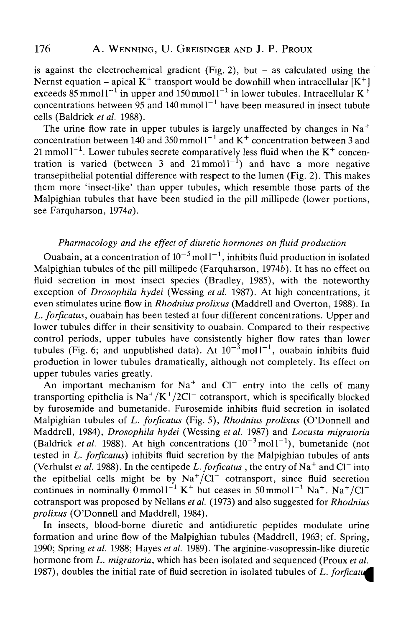is against the electrochemical gradient (Fig. 2), but  $-$  as calculated using the Nernst equation – apical  $K^+$  transport would be downhill when intracellular  $[K^+]$ exceeds 85 mmol  $1^{-1}$  in upper and 150 mmol  $1^{-1}$  in lower tubules. Intracellular K<sup>+</sup> concentrations between 95 and 140 mmol  $1^{-1}$  have been measured in insect tubule cells (Baldrick *et al.* 1988).

The urine flow rate in upper tubules is largely unaffected by changes in  $Na<sup>+</sup>$ concentration between 140 and 350 mmol  $I^{-1}$  and  $K^{+}$  concentration between 3 and 21 mmol1<sup>-1</sup>. Lower tubules secrete comparatively less fluid when the  $K^+$  concentration is varied (between 3 and  $21$ mmol $1^{-1}$ ) and have a more negative transepithelial potential difference with respect to the lumen (Fig. 2). This makes them more 'insect-like' than upper tubules, which resemble those parts of the Malpighian tubules that have been studied in the pill millipede (lower portions, see Farquharson, 1974a).

## *Pharmacology and the effect of diuretic hormones on fluid production*

Ouabain, at a concentration of  $10^{-5}$  mol  $1^{-1}$ , inhibits fluid production in isolated Malpighian tubules of the pill millipede (Farquharson, 1974 $\vec{b}$ ). It has no effect on fluid secretion in most insect species (Bradley, 1985), with the noteworthy exception of *Drosophila hydei* (Wessing *et al.* 1987). At high concentrations, it even stimulates urine flow in *Rhodnius prolixus* (Maddrell and Overton, 1988). In *L. forficatus,* ouabain has been tested at four different concentrations. Upper and lower tubules differ in their sensitivity to ouabain. Compared to their respective control periods, upper tubules have consistently higher flow rates than lower tubules (Fig. 6; and unpublished data). At  $10^{-3}$  moll<sup>-1</sup>, ouabain inhibits fluid production in lower tubules dramatically, although not completely. Its effect on upper tubules varies greatly.

An important mechanism for Na<sup>+</sup> and Cl<sup>-</sup> entry into the cells of many transporting epithelia is  $\text{Na}^+/ \text{K}^+/2 \text{Cl}^-$  cotransport, which is specifically blocked by furosemide and bumetanide. Furosemide inhibits fluid secretion in isolated Malpighian tubules of *L. forficatus* (Fig. 5), *Rhodnius prolixus* (O'Donnell and Maddrell, 1984), *Drosophila hydei* (Wessing *et al.* 1987) and *Locusta migratoria* (Baldrick et al. 1988). At high concentrations  $(10^{-3} \text{ mol}^{-1})$ , bumetanide (not tested in *L. forficatus)* inhibits fluid secretion by the Malpighian tubules of ants (Verhulst *et al.* 1988). In the centipede L. forficatus, the entry of Na<sup>+</sup> and Cl<sup>-</sup> into the epithelial cells might be by  $\text{Na}^+/ \text{Cl}^-$  cotransport, since fluid secretion continues in nominally  $\overline{0}$  mmoll<sup>-1</sup> K<sup>+</sup> but ceases in  $\overline{50}$  mmoll<sup>-1</sup> Na<sup>+</sup>. Na<sup>+</sup>/Cl<sup>-1</sup> cotransport was proposed by Nellans *et al.* (1973) and also suggested for *Rhodnius prolixus* (O'Donnell and Maddrell, 1984).

In insects, blood-borne diuretic and antidiuretic peptides modulate urine formation and urine flow of the Malpighian tubules (Maddrell, 1963; cf. Spring, 1990; Spring *et al.* 1988; Hayes *et al.* 1989). The arginine-vasopressin-like diuretic hormone from *L. migratoria,* which has been isolated and sequenced (Proux *et al.* 1987), doubles the initial rate of fluid secretion in isolated tubules of *L. forficatu*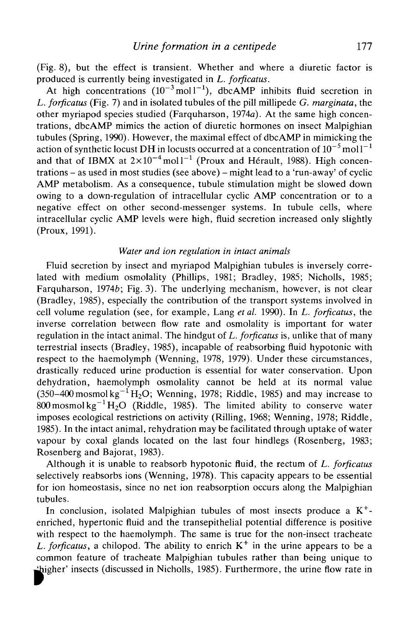(Fig. 8), but the effect is transient. Whether and where a diuretic factor is produced is currently being investigated in *L. forficatus.*

At high concentrations  $(10^{-3} \text{ mol}^{-1})$ , dbcAMP inhibits fluid secretion in *L. forficatus* (Fig. 7) and in isolated tubules of the pill millipede *G. marginata,* the other myriapod species studied (Farquharson, 1974a). At the same high concentrations, dbcAMP mimics the action of diuretic hormones on insect Malpighian tubules (Spring, 1990). However, the maximal effect of dbcAMP in mimicking the action of synthetic locust DH in locusts occurred at a concentration of  $10^{-5}$  mol l $^{-1}$ and that of IBMX at  $2\times10^{-4}$  moll<sup>-1</sup> (Proux and Hérault, 1988). High concentrations - as used in most studies (see above) - might lead to a 'run-away' of cyclic AMP metabolism. As a consequence, tubule stimulation might be slowed down owing to a down-regulation of intracellular cyclic AMP concentration or to a negative effect on other second-messenger systems. In tubule cells, where intracellular cyclic AMP levels were high, fluid secretion increased only slightly (Proux, 1991).

## *Water and ion regulation in intact animals*

Fluid secretion by insect and myriapod Malpighian tubules is inversely correlated with medium osmolality (Phillips, 1981; Bradley, 1985; Nicholls, 1985; Farquharson, 19746; Fig. 3). The underlying mechanism, however, is not clear (Bradley, 1985), especially the contribution of the transport systems involved in cell volume regulation (see, for example, Lang *etal.* 1990). In *L. forficatus,* the inverse correlation between flow rate and osmolality is important for water regulation in the intact animal. The hindgut of *L. forficatus* is, unlike that of many terrestrial insects (Bradley, 1985), incapable of reabsorbing fluid hypotonic with respect to the haemolymph (Wenning, 1978, 1979). Under these circumstances, drastically reduced urine production is essential for water conservation. Upon dehydration, haemolymph osmolality cannot be held at its normal value (350–400 mosmol kg<sup>-1</sup>H<sub>2</sub>O; Wenning, 1978; Riddle, 1985) and may increase to 800 mosmol kg<sup>-1</sup> H<sub>2</sub>O (Riddle, 1985). The limited ability to conserve water imposes ecological restrictions on activity (Rilling, 1968; Wenning, 1978; Riddle, 1985). In the intact animal, rehydration may be facilitated through uptake of water vapour by coxal glands located on the last four hindlegs (Rosenberg, 1983; Rosenberg and Bajorat, 1983).

Although it is unable to reabsorb hypotonic fluid, the rectum of *L. forficatus* selectively reabsorbs ions (Wenning, 1978). This capacity appears to be essential for ion homeostasis, since no net ion reabsorption occurs along the Malpighian tubules.

In conclusion, isolated Malpighian tubules of most insects produce a  $K^+$ enriched, hypertonic fluid and the transepithelial potential difference is positive with respect to the haemolymph. The same is true for the non-insect tracheate L. forficatus, a chilopod. The ability to enrich  $K^+$  in the urine appears to be a common feature of tracheate Malpighian tubules rather than being unique to ^higher' insects (discussed in Nicholls, 1985). Furthermore, the urine flow rate in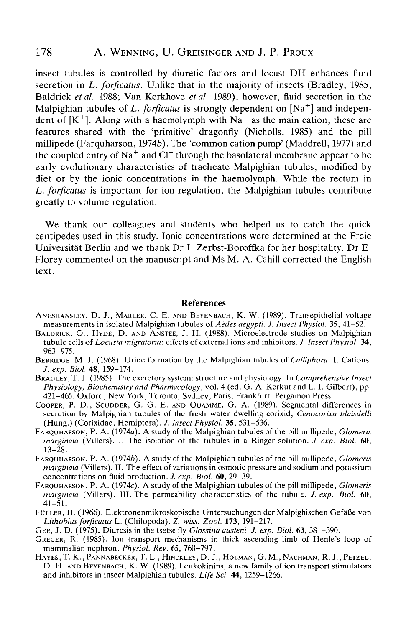# 178 A. WENNING, U. GREISINGER AND J. P. PROUX

insect tubules is controlled by diuretic factors and locust DH enhances fluid secretion in *L. forficatus.* Unlike that in the majority of insects (Bradley, 1985; Baldrick *etal.* 1988; Van Kerkhove *et al.* 1989), however, fluid secretion in the Malpighian tubules of L. forficatus is strongly dependent on [Na<sup>+</sup>] and independent of  $[K^+]$ . Along with a haemolymph with Na<sup>+</sup> as the main cation, these are features shared with the 'primitive' dragonfly (Nicholls, 1985) and the pill millipede (Farquharson, 19746). The 'common cation pump' (Maddrell, 1977) and the coupled entry of Na<sup>+</sup> and Cl $^-$  through the basolateral membrane appear to be early evolutionary characteristics of tracheate Malpighian tubules, modified by diet or by the ionic concentrations in the haemolymph. While the rectum in *L. forficatus* is important for ion regulation, the Malpighian tubules contribute greatly to volume regulation.

We thank our colleagues and students who helped us to catch the quick centipedes used in this study. Ionic concentrations were determined at the Freie Universitat Berlin and we thank Dr I. Zerbst-Boroffka for her hospitality. Dr E. Florey commented on the manuscript and Ms M. A. Cahill corrected the English text.

#### References

- ANESHANSLEY, D. J., MARLER, C. E. AND BEYENBACH, K. W. (1989). Transepithelial voltage measurements in isolated Malpighian tubules of Aedes aegypti. J. Insect Physiol. 35, 41–52.
- BALDRICK, O., HYDE, D. AND ANSTEE, J. H. (1988). Microelectrode studies on Malpighian tubule cells of *Locusta migratona:* effects of external ions and inhibitors. *J. Insect Physiol.* 34,
- BERRIDGE, M. J. (1968). Urine formation by the Malpighian tubules of *Calliphora*. I. Cations.<br>*J. exp. Biol.* **48**, 159–174.
- *BRADLEY, T. J. (1985). The excretory system: structure and physiology. In Comprehensive Insect Physiology, Biochemistry and Pharmacology, vol.* 4 (ed. G. A. Kerkut and L. I. Gilbert), pp. 421-465. Oxford, New York, Toronto, Sydney, Paris, Frankfurt: Pergamon Press.<br>Cooper, P. D., Scupper, G. G. E. AND QUAMME, G. A. (1989). Segmental differences in
- secretion by Malpighian tubules of the fresh water dwelling corixid, *Cenocorixa blaisdelli* (Hung.) (Corixidae, Hemiptera). *J. Insect Physiol.* 35, 531–536.
- (Hung.) (Corixidae, Hemiptera). /. *Insect Physiol.* 35, 531-536. FARQUHARSON, P. A. (1974a). A study of the Malpighian tubules of the pill millipede, *Glomeris marginata* (Villers). I. The isolation of the tubules in a Ringer solution. *J. exp. Biol.* 60,
- 13-28. FARQUHARSON, P. A. *(1974b).* A study of the Malpighian tubules of the pill millipede, *Glomeris marginata* (Villers). II. The effect of variations in osmotic pressure and sodium and potassium concentrations on fluid production. *J. exp. Biol.* 60, 29–39.
- FARQUHARSON, P. A. (1974c). A study of the Malpighian tubules of the pill millipede, *Glomeris marginata* (Villers). III. The permeability characteristics of the tubule. *J. exp. Biol.* 60,  $41 - \bar{5}1$ .
- FÜLLER, H. (1966). Elektronenmikroskopische Untersuchungen der Malpighischen Gefäße von<br>Lithobius forficatus L. (Chilopoda). Z. wiss. Zool. 173, 191–217.
- 
- GEE, J. D. (1975). Diuresis in the tsetse fly *Glossina austeni. J. exp. Biol.* 63, 381–390.<br>GREGER, R. (1985). Ion transport mechanisms in thick ascending limb of Henle's loop of mammalian nephron. *Physiol. Rev.* 65, 760
- HAYES, T. K., PANNABECKER, T. L., HINCKLEY, D. J., HOLMAN, G. M., NACHMAN, R. J., PETZEL, D. H. AND BEYENBACH, K. W. (1989). Leukokinins, a new family of ion transport stimulators and inhibitors in insect Malpighian tubules. *Life Sci.* 44, 1259-1266.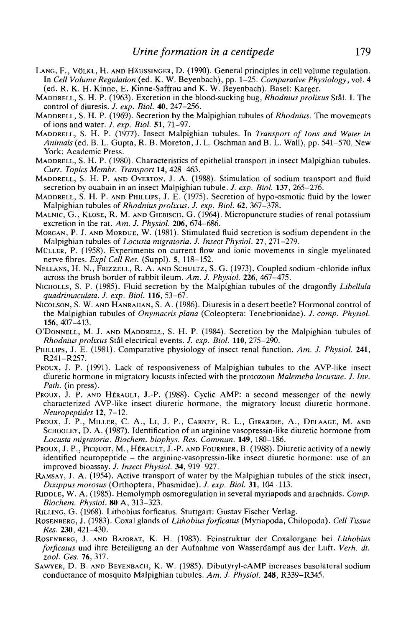- LANG, F., VOLKL, H. AND HAUSSINGER, D. (1990). General principles in cell volume regulation. In *Cell Volume Regulation* (ed. K. W. Beyenbach), pp. 1-25. *Comparative Physiology*, vol. 4
- (ed. R. K. H. Kinne, E. Kinne-Saffrau and K. W. Beyenbach). Basel: Karger. MADDRELL, S. H. P. (1963). Excretion in the blood-sucking bug, *Rhodniusprolixus* Stal. I. The
- control of diuresis. *J. exp. Biol.* **40,** 247-256. MADDRELL, S. H. P. (1969). Secretion by the Malpighian tubules of *Rhodnius.* The movements
- of ions and water. *J. exp. Biol.* **51,***11-91.* MADDRELL, S. H. P. (1977). Insect Malpighian tubules. In *Transport of Ions and Water in Animals* (ed. B. L. Gupta, R. B. Moreton, J. L. Oschman and B. L. Wall), pp. 541-570. New
- MADDRELL, S. H. P. (1980). Characteristics of epithelial transport in insect Malpighian tubules.<br>Curr. Topics Membr. Transport 14, 428-463.
- *MADDRELL, S. H. P. AND OVERTON, J. A. (1988). Stimulation of sodium transport and fluid* secretion by ouabain in an insect Malpighian tubule. *J. exp. Biol.* **137**, 265–276. MADDRELL, S. H. P. AND PHILLIPS, J. E. (1975). Secretion of hypo-osmotic fluid by the lower
- Malpighian tubules of *Rhodnius prolixus. J. exp. Biol.* **62,** 367-378. MALNIC, G., KLOSE, R. M. AND GIEBISCH, G. (1964). Micropuncture studies of renal potassium
- 
- excretion in the rat. *Am. J. Physiol.* **206**, 674–686.<br>MORGAN, P. J. AND MORDUE, W. (1981). Stimulated fluid secretion is sodium dependent in the<br>Malpighian tubules of *Locusta migratoria. J. Insect Physiol.* **27**, 271–27
- MULLER, P. (1958). Experiments on current flow and ionic movements in single myelinated nerve fibres. *Expl Cell Res.* (Suppl). 5, 118–152.<br>NELLANS, H. N., FRIZZELL, R. A. AND SCHULTZ, S. G. (1973). Coupled sodium-chloride influx
- across the brush border of rabbit ileum. *Am. J. Physiol.* **226,** 467-475. NICHOLLS, S. P. (1985). Fluid secretion by the Malpighian tubules of the dragonfly *Libellula*
- *quadrimaculata. I. exp. Biol.* **116,** 53-67. NICOLSON, S. W. AND HANRAHAN, S. A. (1986). Diuresis in a desert beetle? Hormonal control of
- the Malpighian tubules of *Onymacris plana* (Coleoptera: Tenebrionidae). *J. comp. Physiol.* **156,** 407-413. O'DONNELL, M. J. AND MADDRELL, S. H. P. (1984). Secretion by the Malpighian tubules of
- 
- *Rhodnius prolixus* Stål electrical events. *J. exp. Biol.* **110**, 275–290.<br>PHILLIPS, J. E. (1981). Comparative physiology of insect renal function. *Am. J. Physiol.* **241**,<br>R241–R257.
- Proux, J. P. (1991). Lack of responsiveness of Malpighian tubules to the AVP-like insect diuretic hormone in migratory locusts infected with the protozoan *Malemeba locustae. J. Inv. Path.* (in press).<br>Proux, J. P. AND HÉRAULT, J.-P. (1988). Cyclic AMP: a second messenger of the newly
- characterized AVP-like insect diuretic hormone, the migratory locust diuretic hormone. *Neuropeptides* **12,** 7-12.
- PROUX, J. P., MILLER, C. A., Li, J. P., CARNEY, R. L., GIRARDIE, A., DELAAGE, M. AND SCHOOLEY, D. A. (1987). Identification of an arginine vasopressin-like diuretic hormone from *Locusta migratoria. Biochem. biophys. Res. Commun.* 149, 180–186.
- Proux, J. P., Picquot, M., Hérault, J.-P. AND Fournier, B. (1988). Diuretic activity of a newly identified neuropeptide - the arginine-vasopressin-like insect diuretic hormone: use of an improved bioassay. J. Insect Physiol. 34, 919-927.
- RAMSAY, J. A. (1954). Active transport of water by the Malpighian tubules of the stick insect, *Dixippus morosus* (Orthoptera, Phasmidae). /. *exp. Biol.* **31,** 104-113. RJDDLE, W. A. (1985). Hemolymph osmoregulation in several myriapods and arachnids. *Comp.*
- *Biochem. Physiol.* **80** A, 313-323.
- 
- RILLING, G. (1968). Lithobius forficatus. Stuttgart: Gustav Fischer Verlag. ROSENBERG, J. (1983). Coxal glands of *Lithobius forficatus* (Myriapoda, Chilopoda). *Cell Tissue Res.* **230,** 421-430. ROSENBERG, J. AND BAJORAT, K. H. (1983). Feinstruktur der Coxalorgane bei *Lithobius*
- *forficatus* und ihre Beteiligung an der Aufnahme von Wasserdampf aus der Luft. *Verh. dt. zool. Ges.* **76,** 317. SAWYER, D. B. AND BEYENBACH, K. W. (1985). Dibutyryl-cAMP increases basolateral sodium
- conductance of mosquito Malpighian tubules. *Am. J. Physiol.* **248,** R339-R345.